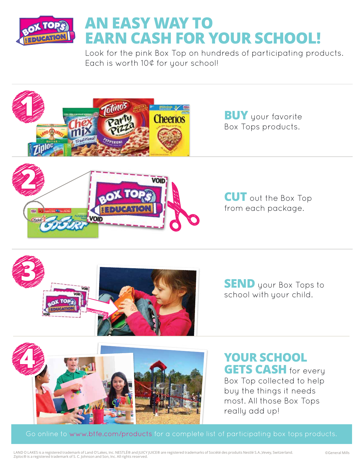

## **AN EASY WAY TO EARN CASH FOR YOUR SCHOOL!**

Look for the pink Box Top on hundreds of participating products. Each is worth 10¢ for your school!





**SEND** your Box Tops to school with your child.



## **YOUR SCHOOL GETS CASH** for every

Box Top collected to help buy the things it needs most. All those Box Tops really add up!

Go online to www.btfe.com/products for a complete list of participating box tops products.

LAND O LAKES is a registered trademark of Land O'Lakes, Inc. NESTLÉ® and JUICY JUICE® are registered trademarks of Société des produits Nestlé S.A.,Vevey, Switzerland. ©General Mills Ziploc® is a registered trademark of S. C. Johnson and Son, Inc. All rights reserved.